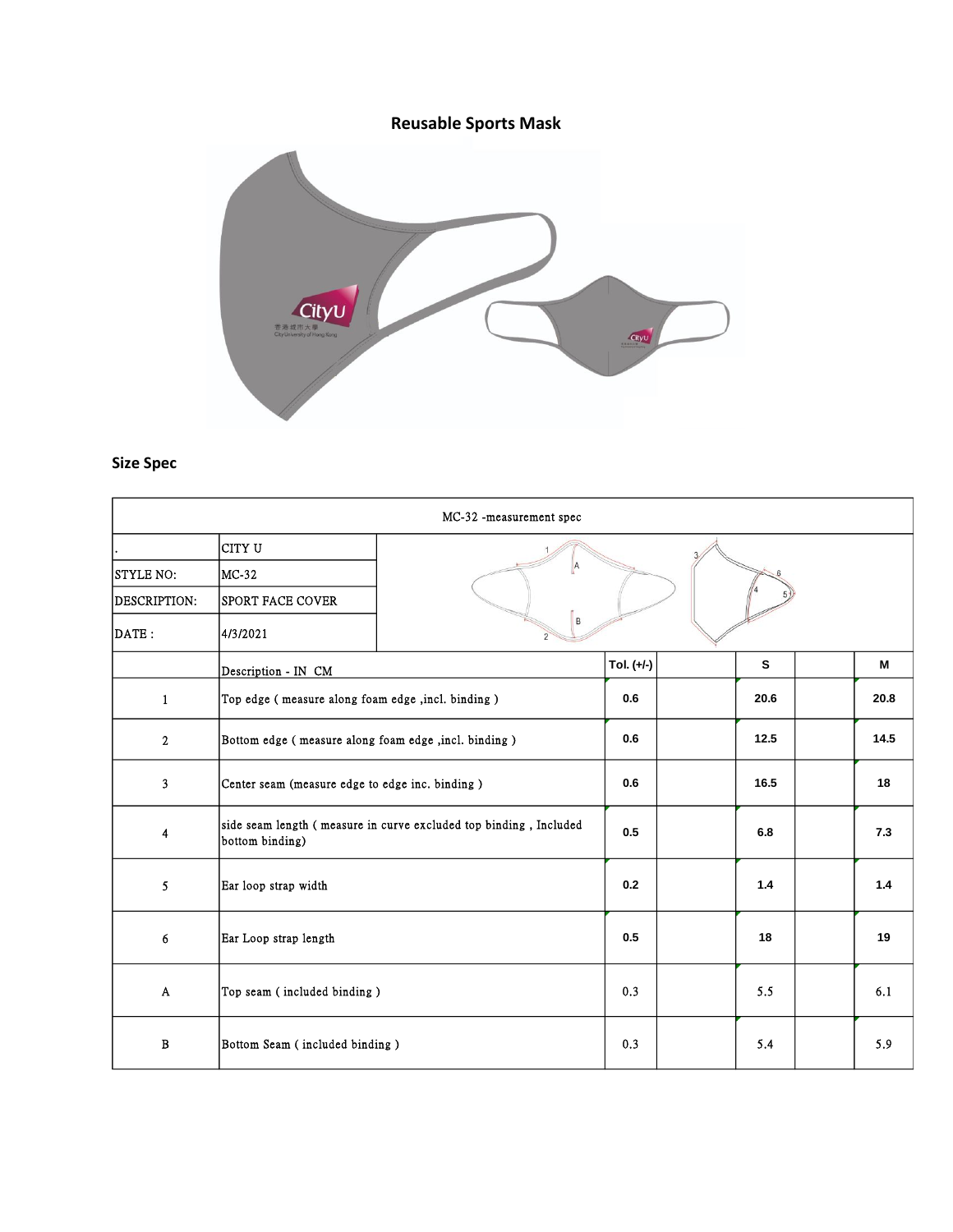**Reusable Sports Mask**



## **Size Spec**

| MC-32 -measurement spec      |                                                                                      |   |            |  |      |  |      |
|------------------------------|--------------------------------------------------------------------------------------|---|------------|--|------|--|------|
|                              | CITY U                                                                               |   |            |  |      |  |      |
| STYLE NO:                    | MC-32                                                                                | A |            |  |      |  |      |
| DESCRIPTION:                 | SPORT FACE COVER                                                                     |   |            |  |      |  |      |
| $\overline{\texttt{DATE}}$ : | 4/3/2021                                                                             | B |            |  |      |  |      |
|                              | Description - IN CM                                                                  |   | Tol. (+/-) |  | S    |  | м    |
| $\mathbf{1}$                 | Top edge (measure along foam edge, incl. binding)                                    |   | 0.6        |  | 20.6 |  | 20.8 |
| $\overline{2}$               | Bottom edge (measure along foam edge, incl. binding)                                 |   | 0.6        |  | 12.5 |  | 14.5 |
| 3                            | Center seam (measure edge to edge inc. binding)                                      |   | 0.6        |  | 16.5 |  | 18   |
| 4                            | side seam length (measure in curve excluded top binding, Included<br>bottom binding) |   | 0.5        |  | 6.8  |  | 7.3  |
| 5                            | Ear loop strap width                                                                 |   | 0.2        |  | 1.4  |  | 1.4  |
| 6                            | Ear Loop strap length                                                                |   | 0.5        |  | 18   |  | 19   |
| A                            | Top seam (included binding)                                                          |   | 0.3        |  | 5.5  |  | 6.1  |
| В                            | Bottom Seam (included binding)                                                       |   | 0.3        |  | 5.4  |  | 5.9  |